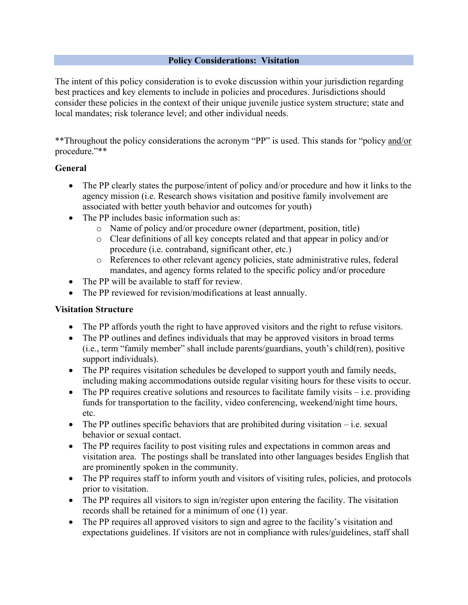#### **Policy Considerations: Visitation**

The intent of this policy consideration is to evoke discussion within your jurisdiction regarding best practices and key elements to include in policies and procedures. Jurisdictions should consider these policies in the context of their unique juvenile justice system structure; state and local mandates; risk tolerance level; and other individual needs.

\*\*Throughout the policy considerations the acronym "PP" is used. This stands for "policy and/or procedure."\*\*

### **General**

- The PP clearly states the purpose/intent of policy and/or procedure and how it links to the agency mission (i.e. Research shows visitation and positive family involvement are associated with better youth behavior and outcomes for youth)
- The PP includes basic information such as:
	- o Name of policy and/or procedure owner (department, position, title)
	- o Clear definitions of all key concepts related and that appear in policy and/or procedure (i.e. contraband, significant other, etc.)
	- o References to other relevant agency policies, state administrative rules, federal mandates, and agency forms related to the specific policy and/or procedure
- The PP will be available to staff for review.
- The PP reviewed for revision/modifications at least annually.

### **Visitation Structure**

- The PP affords youth the right to have approved visitors and the right to refuse visitors.
- The PP outlines and defines individuals that may be approved visitors in broad terms (i.e., term "family member" shall include parents/guardians, youth's child(ren), positive support individuals).
- The PP requires visitation schedules be developed to support youth and family needs, including making accommodations outside regular visiting hours for these visits to occur.
- The PP requires creative solutions and resources to facilitate family visits  $-i.e.$  providing funds for transportation to the facility, video conferencing, weekend/night time hours, etc.
- The PP outlines specific behaviors that are prohibited during visitation  $-$  i.e. sexual behavior or sexual contact.
- The PP requires facility to post visiting rules and expectations in common areas and visitation area. The postings shall be translated into other languages besides English that are prominently spoken in the community.
- The PP requires staff to inform youth and visitors of visiting rules, policies, and protocols prior to visitation.
- The PP requires all visitors to sign in/register upon entering the facility. The visitation records shall be retained for a minimum of one (1) year.
- The PP requires all approved visitors to sign and agree to the facility's visitation and expectations guidelines. If visitors are not in compliance with rules/guidelines, staff shall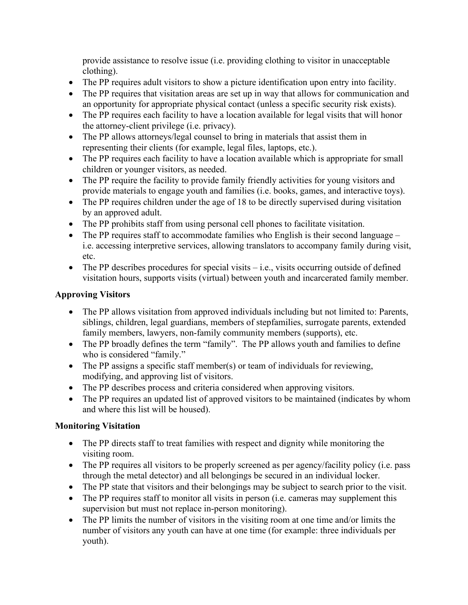provide assistance to resolve issue (i.e. providing clothing to visitor in unacceptable clothing).

- The PP requires adult visitors to show a picture identification upon entry into facility.
- The PP requires that visitation areas are set up in way that allows for communication and an opportunity for appropriate physical contact (unless a specific security risk exists).
- The PP requires each facility to have a location available for legal visits that will honor the attorney-client privilege (i.e. privacy).
- The PP allows attorneys/legal counsel to bring in materials that assist them in representing their clients (for example, legal files, laptops, etc.).
- The PP requires each facility to have a location available which is appropriate for small children or younger visitors, as needed.
- The PP require the facility to provide family friendly activities for young visitors and provide materials to engage youth and families (i.e. books, games, and interactive toys).
- The PP requires children under the age of 18 to be directly supervised during visitation by an approved adult.
- The PP prohibits staff from using personal cell phones to facilitate visitation.
- The PP requires staff to accommodate families who English is their second language i.e. accessing interpretive services, allowing translators to accompany family during visit, etc.
- The PP describes procedures for special visits  $-$  i.e., visits occurring outside of defined visitation hours, supports visits (virtual) between youth and incarcerated family member.

## **Approving Visitors**

- The PP allows visitation from approved individuals including but not limited to: Parents, siblings, children, legal guardians, members of stepfamilies, surrogate parents, extended family members, lawyers, non-family community members (supports), etc.
- The PP broadly defines the term "family". The PP allows youth and families to define who is considered "family."
- The PP assigns a specific staff member(s) or team of individuals for reviewing, modifying, and approving list of visitors.
- The PP describes process and criteria considered when approving visitors.
- The PP requires an updated list of approved visitors to be maintained (indicates by whom and where this list will be housed).

# **Monitoring Visitation**

- The PP directs staff to treat families with respect and dignity while monitoring the visiting room.
- The PP requires all visitors to be properly screened as per agency/facility policy (i.e. pass) through the metal detector) and all belongings be secured in an individual locker.
- The PP state that visitors and their belongings may be subject to search prior to the visit.
- The PP requires staff to monitor all visits in person (i.e. cameras may supplement this supervision but must not replace in-person monitoring).
- The PP limits the number of visitors in the visiting room at one time and/or limits the number of visitors any youth can have at one time (for example: three individuals per youth).